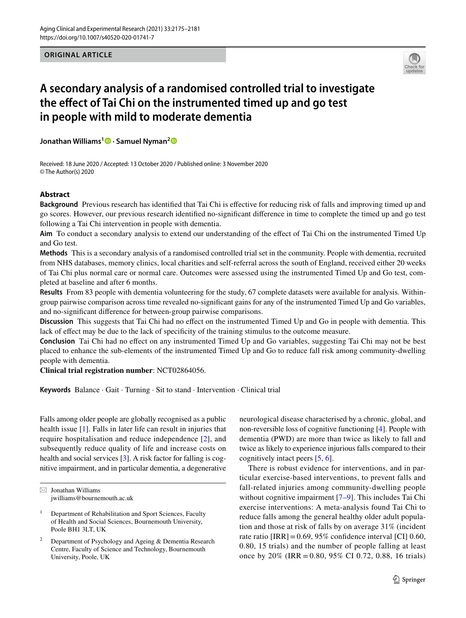**ORIGINAL ARTICLE**



# **A secondary analysis of a randomised controlled trial to investigate the efect of Tai Chi on the instrumented timed up and go test in people with mild to moderate dementia**

**Jonathan Williams1 · Samuel Nyman[2](https://orcid.org/0000-0003-1963-0814)**

Received: 18 June 2020 / Accepted: 13 October 2020 / Published online: 3 November 2020 © The Author(s) 2020

## **Abstract**

**Background** Previous research has identifed that Tai Chi is efective for reducing risk of falls and improving timed up and go scores. However, our previous research identifed no-signifcant diference in time to complete the timed up and go test following a Tai Chi intervention in people with dementia.

**Aim** To conduct a secondary analysis to extend our understanding of the efect of Tai Chi on the instrumented Timed Up and Go test.

**Methods** This is a secondary analysis of a randomised controlled trial set in the community. People with dementia, recruited from NHS databases, memory clinics, local charities and self-referral across the south of England, received either 20 weeks of Tai Chi plus normal care or normal care. Outcomes were assessed using the instrumented Timed Up and Go test, completed at baseline and after 6 months.

**Results** From 83 people with dementia volunteering for the study, 67 complete datasets were available for analysis. Withingroup pairwise comparison across time revealed no-signifcant gains for any of the instrumented Timed Up and Go variables, and no-signifcant diference for between-group pairwise comparisons.

**Discussion** This suggests that Tai Chi had no efect on the instrumented Timed Up and Go in people with dementia. This lack of effect may be due to the lack of specificity of the training stimulus to the outcome measure.

**Conclusion** Tai Chi had no efect on any instrumented Timed Up and Go variables, suggesting Tai Chi may not be best placed to enhance the sub-elements of the instrumented Timed Up and Go to reduce fall risk among community-dwelling people with dementia.

**Clinical trial registration number**: NCT02864056.

**Keywords** Balance · Gait · Turning · Sit to stand · Intervention · Clinical trial

Falls among older people are globally recognised as a public health issue [[1\]](#page-5-0). Falls in later life can result in injuries that require hospitalisation and reduce independence [[2](#page-5-1)], and subsequently reduce quality of life and increase costs on health and social services [[3\]](#page-5-2). A risk factor for falling is cognitive impairment, and in particular dementia, a degenerative neurological disease characterised by a chronic, global, and non-reversible loss of cognitive functioning [\[4](#page-5-3)]. People with dementia (PWD) are more than twice as likely to fall and twice as likely to experience injurious falls compared to their cognitively intact peers [[5,](#page-5-4) [6\]](#page-5-5).

There is robust evidence for interventions, and in particular exercise-based interventions, to prevent falls and fall-related injuries among community-dwelling people without cognitive impairment [\[7](#page-5-6)[–9\]](#page-5-7). This includes Tai Chi exercise interventions: A meta-analysis found Tai Chi to reduce falls among the general healthy older adult population and those at risk of falls by on average 31% (incident rate ratio [IRR]=0.69, 95% confdence interval [CI] 0.60, 0.80, 15 trials) and the number of people falling at least once by 20% (IRR = 0.80, 95% CI 0.72, 0.88, 16 trials)

 $\boxtimes$  Jonathan Williams jwilliams@bournemouth.ac.uk

<sup>&</sup>lt;sup>1</sup> Department of Rehabilitation and Sport Sciences, Faculty of Health and Social Sciences, Bournemouth University, Poole BH1 3LT, UK

Department of Psychology and Ageing & Dementia Research Centre, Faculty of Science and Technology, Bournemouth University, Poole, UK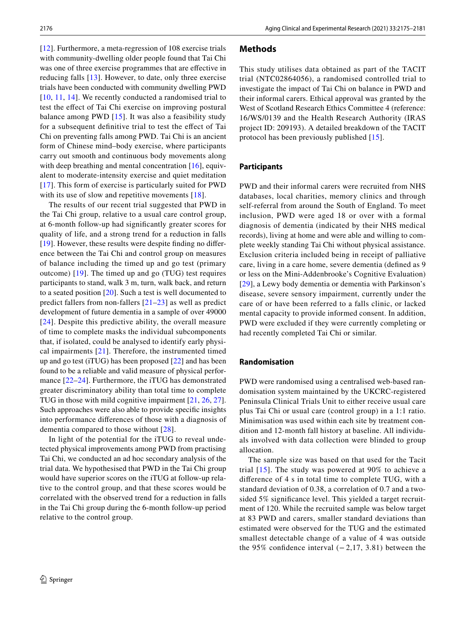[\[12\]](#page-5-8). Furthermore, a meta-regression of 108 exercise trials with community-dwelling older people found that Tai Chi was one of three exercise programmes that are efective in reducing falls [[13](#page-5-9)]. However, to date, only three exercise trials have been conducted with community dwelling PWD [[10,](#page-5-10) [11,](#page-5-11) [14](#page-5-12)]. We recently conducted a randomised trial to test the efect of Tai Chi exercise on improving postural balance among PWD [\[15\]](#page-5-13). It was also a feasibility study for a subsequent defnitive trial to test the efect of Tai Chi on preventing falls among PWD. Tai Chi is an ancient form of Chinese mind–body exercise, where participants carry out smooth and continuous body movements along with deep breathing and mental concentration  $[16]$  $[16]$ , equivalent to moderate-intensity exercise and quiet meditation [[17\]](#page-5-15). This form of exercise is particularly suited for PWD with its use of slow and repetitive movements [\[18\]](#page-5-16).

The results of our recent trial suggested that PWD in the Tai Chi group, relative to a usual care control group, at 6-month follow-up had signifcantly greater scores for quality of life, and a strong trend for a reduction in falls [\[19\]](#page-5-17). However, these results were despite fnding no diference between the Tai Chi and control group on measures of balance including the timed up and go test (primary outcome) [[19](#page-5-17)]. The timed up and go (TUG) test requires participants to stand, walk 3 m, turn, walk back, and return to a seated position [\[20](#page-5-18)]. Such a test is well documented to predict fallers from non-fallers [\[21–](#page-5-19)[23](#page-5-20)] as well as predict development of future dementia in a sample of over 49000 [[24](#page-5-21)]. Despite this predictive ability, the overall measure of time to complete masks the individual subcomponents that, if isolated, could be analysed to identify early physical impairments  $[21]$ . Therefore, the instrumented timed up and go test (iTUG) has been proposed [[22\]](#page-5-22) and has been found to be a reliable and valid measure of physical performance [[22](#page-5-22)[–24\]](#page-5-21). Furthermore, the iTUG has demonstrated greater discriminatory ability than total time to complete TUG in those with mild cognitive impairment [[21,](#page-5-19) [26](#page-6-0), [27](#page-6-1)]. Such approaches were also able to provide specifc insights into performance diferences of those with a diagnosis of dementia compared to those without [[28](#page-6-2)].

In light of the potential for the iTUG to reveal undetected physical improvements among PWD from practising Tai Chi, we conducted an ad hoc secondary analysis of the trial data. We hypothesised that PWD in the Tai Chi group would have superior scores on the iTUG at follow-up relative to the control group, and that these scores would be correlated with the observed trend for a reduction in falls in the Tai Chi group during the 6-month follow-up period relative to the control group.

#### **Methods**

This study utilises data obtained as part of the TACIT trial (NTC02864056), a randomised controlled trial to investigate the impact of Tai Chi on balance in PWD and their informal carers. Ethical approval was granted by the West of Scotland Research Ethics Committee 4 (reference: 16/WS/0139 and the Health Research Authority (IRAS project ID: 209193). A detailed breakdown of the TACIT protocol has been previously published [[15](#page-5-13)].

### **Participants**

PWD and their informal carers were recruited from NHS databases, local charities, memory clinics and through self-referral from around the South of England. To meet inclusion, PWD were aged 18 or over with a formal diagnosis of dementia (indicated by their NHS medical records), living at home and were able and willing to complete weekly standing Tai Chi without physical assistance. Exclusion criteria included being in receipt of palliative care, living in a care home, severe dementia (defned as 9 or less on the Mini-Addenbrooke's Cognitive Evaluation) [[29\]](#page-6-3), a Lewy body dementia or dementia with Parkinson's disease, severe sensory impairment, currently under the care of or have been referred to a falls clinic, or lacked mental capacity to provide informed consent. In addition, PWD were excluded if they were currently completing or had recently completed Tai Chi or similar.

#### **Randomisation**

PWD were randomised using a centralised web-based randomisation system maintained by the UKCRC-registered Peninsula Clinical Trials Unit to either receive usual care plus Tai Chi or usual care (control group) in a 1:1 ratio. Minimisation was used within each site by treatment condition and 12-month fall history at baseline. All individuals involved with data collection were blinded to group allocation.

The sample size was based on that used for the Tacit trial  $[15]$  $[15]$ . The study was powered at 90% to achieve a diference of 4 s in total time to complete TUG, with a standard deviation of 0.38, a correlation of 0.7 and a twosided 5% signifcance level. This yielded a target recruitment of 120. While the recruited sample was below target at 83 PWD and carers, smaller standard deviations than estimated were observed for the TUG and the estimated smallest detectable change of a value of 4 was outside the 95% confidence interval  $(-2,17, 3.81)$  between the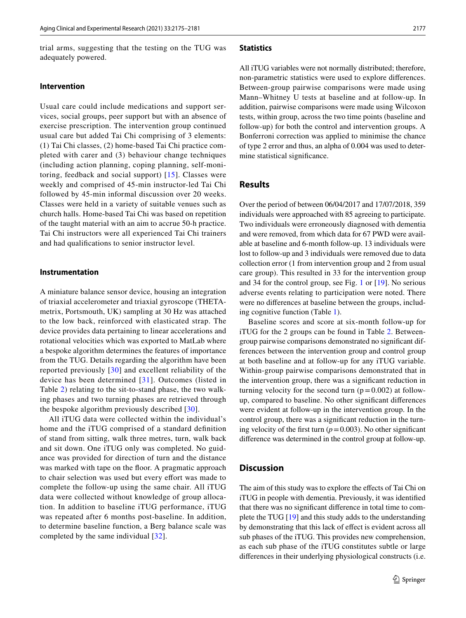trial arms, suggesting that the testing on the TUG was adequately powered.

## **Intervention**

Usual care could include medications and support services, social groups, peer support but with an absence of exercise prescription. The intervention group continued usual care but added Tai Chi comprising of 3 elements: (1) Tai Chi classes, (2) home-based Tai Chi practice completed with carer and (3) behaviour change techniques (including action planning, coping planning, self-monitoring, feedback and social support) [[15](#page-5-13)]. Classes were weekly and comprised of 45-min instructor-led Tai Chi followed by 45-min informal discussion over 20 weeks. Classes were held in a variety of suitable venues such as church halls. Home-based Tai Chi was based on repetition of the taught material with an aim to accrue 50-h practice. Tai Chi instructors were all experienced Tai Chi trainers and had qualifcations to senior instructor level.

## **Instrumentation**

A miniature balance sensor device, housing an integration of triaxial accelerometer and triaxial gyroscope (THETAmetrix, Portsmouth, UK) sampling at 30 Hz was attached to the low back, reinforced with elasticated strap. The device provides data pertaining to linear accelerations and rotational velocities which was exported to MatLab where a bespoke algorithm determines the features of importance from the TUG. Details regarding the algorithm have been reported previously [[30](#page-6-4)] and excellent reliability of the device has been determined [\[31](#page-6-5)]. Outcomes (listed in Table [2\)](#page-3-0) relating to the sit-to-stand phase, the two walking phases and two turning phases are retrieved through the bespoke algorithm previously described [[30](#page-6-4)].

All iTUG data were collected within the individual's home and the iTUG comprised of a standard defnition of stand from sitting, walk three metres, turn, walk back and sit down. One iTUG only was completed. No guidance was provided for direction of turn and the distance was marked with tape on the floor. A pragmatic approach to chair selection was used but every effort was made to complete the follow-up using the same chair. All iTUG data were collected without knowledge of group allocation. In addition to baseline iTUG performance, iTUG was repeated after 6 months post-baseline. In addition, to determine baseline function, a Berg balance scale was completed by the same individual [\[32\]](#page-6-6).

#### **Statistics**

All iTUG variables were not normally distributed; therefore, non-parametric statistics were used to explore diferences. Between-group pairwise comparisons were made using Mann–Whitney U tests at baseline and at follow-up. In addition, pairwise comparisons were made using Wilcoxon tests, within group, across the two time points (baseline and follow-up) for both the control and intervention groups. A Bonferroni correction was applied to minimise the chance of type 2 error and thus, an alpha of 0.004 was used to determine statistical signifcance.

## **Results**

Over the period of between 06/04/2017 and 17/07/2018, 359 individuals were approached with 85 agreeing to participate. Two individuals were erroneously diagnosed with dementia and were removed, from which data for 67 PWD were available at baseline and 6-month follow-up. 13 individuals were lost to follow-up and 3 individuals were removed due to data collection error (1 from intervention group and 2 from usual care group). This resulted in 33 for the intervention group and 34 for the control group, see Fig. [1](#page-3-1) or [[19](#page-5-17)]. No serious adverse events relating to participation were noted. There were no diferences at baseline between the groups, including cognitive function (Table [1](#page-3-2)).

Baseline scores and score at six-month follow-up for iTUG for the 2 groups can be found in Table [2.](#page-3-0) Betweengroup pairwise comparisons demonstrated no signifcant differences between the intervention group and control group at both baseline and at follow-up for any iTUG variable. Within-group pairwise comparisons demonstrated that in the intervention group, there was a signifcant reduction in turning velocity for the second turn  $(p=0.002)$  at followup, compared to baseline. No other signifcant diferences were evident at follow-up in the intervention group. In the control group, there was a signifcant reduction in the turning velocity of the first turn ( $p = 0.003$ ). No other significant diference was determined in the control group at follow-up.

## **Discussion**

The aim of this study was to explore the effects of Tai Chi on iTUG in people with dementia. Previously, it was identifed that there was no signifcant diference in total time to complete the TUG [[19\]](#page-5-17) and this study adds to the understanding by demonstrating that this lack of efect is evident across all sub phases of the iTUG. This provides new comprehension, as each sub phase of the iTUG constitutes subtle or large diferences in their underlying physiological constructs (i.e.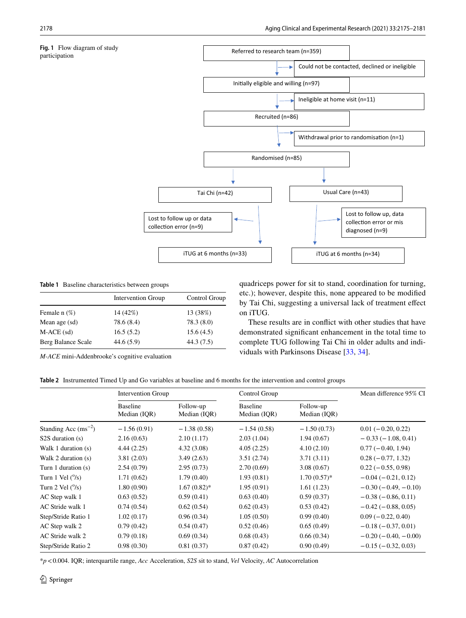<span id="page-3-1"></span>

<span id="page-3-2"></span>**Table 1** Baseline characteristics between groups

|                    | <b>Intervention Group</b> | Control Group |  |
|--------------------|---------------------------|---------------|--|
| Female $n$ $(\%)$  | 14 (42%)                  | 13 (38%)      |  |
| Mean age (sd)      | 78.6 (8.4)                | 78.3(8.0)     |  |
| $M-ACE$ (sd)       | 16.5(5.2)                 | 15.6(4.5)     |  |
| Berg Balance Scale | 44.6(5.9)                 | 44.3(7.5)     |  |

quadriceps power for sit to stand, coordination for turning, etc.); however, despite this, none appeared to be modifed by Tai Chi, suggesting a universal lack of treatment efect on iTUG.

These results are in confict with other studies that have demonstrated signifcant enhancement in the total time to complete TUG following Tai Chi in older adults and individuals with Parkinsons Disease [\[33](#page-6-7), [34](#page-6-8)].

*M-ACE* mini-Addenbrooke's cognitive evaluation

<span id="page-3-0"></span>**Table 2** Instrumented Timed Up and Go variables at baseline and 6 months for the intervention and control groups

|                           | <b>Intervention Group</b>       |                           | Control Group                   |                           | Mean difference 95% CI        |
|---------------------------|---------------------------------|---------------------------|---------------------------------|---------------------------|-------------------------------|
|                           | <b>Baseline</b><br>Median (IQR) | Follow-up<br>Median (IQR) | <b>Baseline</b><br>Median (IQR) | Follow-up<br>Median (IQR) |                               |
| Standing Acc $(ms^{-2})$  | $-1.56(0.91)$                   | $-1.38(0.58)$             | $-1.54(0.58)$                   | $-1.50(0.73)$             | $0.01 (-0.20, 0.22)$          |
| $S2S$ duration $(s)$      | 2.16(0.63)                      | 2.10(1.17)                | 2.03(1.04)                      | 1.94(0.67)                | $-0.33(-1.08, 0.41)$          |
| Walk 1 duration (s)       | 4.44(2.25)                      | 4.32(3.08)                | 4.05(2.25)                      | 4.10(2.10)                | $0.77(-0.40, 1.94)$           |
| Walk 2 duration (s)       | 3.81(2.03)                      | 3.49(2.63)                | 3.51(2.74)                      | 3.71(3.11)                | $0.28(-0.77, 1.32)$           |
| Turn 1 duration (s)       | 2.54(0.79)                      | 2.95(0.73)                | 2.70(0.69)                      | 3.08(0.67)                | $0.22(-0.55, 0.98)$           |
| Turn 1 Vel $(^{0}/s)$     | 1.71(0.62)                      | 1.79(0.40)                | 1.93(0.81)                      | $1.70(0.57)$ *            | $-0.04 (-0.21, 0.12)$         |
| Turn 2 Vel $(^{\circ}/s)$ | 1.80(0.90)                      | $1.67(0.82)$ *            | 1.95(0.91)                      | 1.61(1.23)                | $-0.30(-0.49,-0.10)$          |
| AC Step walk 1            | 0.63(0.52)                      | 0.59(0.41)                | 0.63(0.40)                      | 0.59(0.37)                | $-0.38(-0.86, 0.11)$          |
| AC Stride walk 1          | 0.74(0.54)                      | 0.62(0.54)                | 0.62(0.43)                      | 0.53(0.42)                | $-0.42(-0.88, 0.05)$          |
| Step/Stride Ratio 1       | 1.02(0.17)                      | 0.96(0.34)                | 1.05(0.50)                      | 0.99(0.40)                | $0.09(-0.22, 0.40)$           |
| AC Step walk 2            | 0.79(0.42)                      | 0.54(0.47)                | 0.52(0.46)                      | 0.65(0.49)                | $-0.18(-0.37, 0.01)$          |
| AC Stride walk 2          | 0.79(0.18)                      | 0.69(0.34)                | 0.68(0.43)                      | 0.66(0.34)                | $-0.20$ ( $-0.40$ , $-0.00$ ) |
| Step/Stride Ratio 2       | 0.98(0.30)                      | 0.81(0.37)                | 0.87(0.42)                      | 0.90(0.49)                | $-0.15(-0.32, 0.03)$          |

\**p*<0.004. IQR; interquartile range, *Acc* Acceleration, *S2S* sit to stand, *Vel* Velocity, *AC* Autocorrelation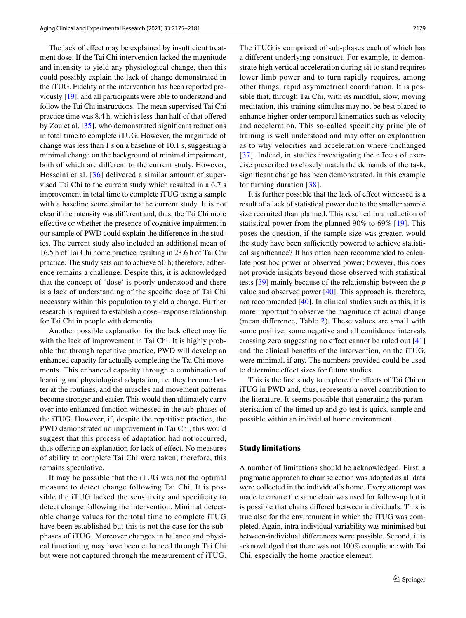The lack of effect may be explained by insufficient treatment dose. If the Tai Chi intervention lacked the magnitude and intensity to yield any physiological change, then this could possibly explain the lack of change demonstrated in the iTUG. Fidelity of the intervention has been reported previously [\[19](#page-5-17)], and all participants were able to understand and follow the Tai Chi instructions. The mean supervised Tai Chi practice time was 8.4 h, which is less than half of that ofered by Zou et al. [\[35](#page-6-9)], who demonstrated signifcant reductions in total time to complete iTUG. However, the magnitude of change was less than 1 s on a baseline of 10.1 s, suggesting a minimal change on the background of minimal impairment, both of which are diferent to the current study. However, Hosseini et al. [\[36\]](#page-6-10) delivered a similar amount of supervised Tai Chi to the current study which resulted in a 6.7 s improvement in total time to complete iTUG using a sample with a baseline score similar to the current study. It is not clear if the intensity was diferent and, thus, the Tai Chi more efective or whether the presence of cognitive impairment in our sample of PWD could explain the diference in the studies. The current study also included an additional mean of 16.5 h of Tai Chi home practice resulting in 23.6 h of Tai Chi practice. The study sets out to achieve 50 h; therefore, adherence remains a challenge. Despite this, it is acknowledged that the concept of 'dose' is poorly understood and there is a lack of understanding of the specifc dose of Tai Chi necessary within this population to yield a change. Further research is required to establish a dose–response relationship for Tai Chi in people with dementia.

Another possible explanation for the lack efect may lie with the lack of improvement in Tai Chi. It is highly probable that through repetitive practice, PWD will develop an enhanced capacity for actually completing the Tai Chi movements. This enhanced capacity through a combination of learning and physiological adaptation, i.e. they become better at the routines, and the muscles and movement patterns become stronger and easier. This would then ultimately carry over into enhanced function witnessed in the sub-phases of the iTUG. However, if, despite the repetitive practice, the PWD demonstrated no improvement in Tai Chi, this would suggest that this process of adaptation had not occurred, thus ofering an explanation for lack of efect. No measures of ability to complete Tai Chi were taken; therefore, this remains speculative.

It may be possible that the iTUG was not the optimal measure to detect change following Tai Chi. It is possible the iTUG lacked the sensitivity and specifcity to detect change following the intervention. Minimal detectable change values for the total time to complete iTUG have been established but this is not the case for the subphases of iTUG. Moreover changes in balance and physical functioning may have been enhanced through Tai Chi but were not captured through the measurement of iTUG.

The iTUG is comprised of sub-phases each of which has a diferent underlying construct. For example, to demonstrate high vertical acceleration during sit to stand requires lower limb power and to turn rapidly requires, among other things, rapid asymmetrical coordination. It is possible that, through Tai Chi, with its mindful, slow, moving meditation, this training stimulus may not be best placed to enhance higher-order temporal kinematics such as velocity and acceleration. This so-called specifcity principle of training is well understood and may offer an explanation as to why velocities and acceleration where unchanged [[37](#page-6-11)]. Indeed, in studies investigating the effects of exercise prescribed to closely match the demands of the task, signifcant change has been demonstrated, in this example for turning duration [[38\]](#page-6-12).

It is further possible that the lack of efect witnessed is a result of a lack of statistical power due to the smaller sample size recruited than planned. This resulted in a reduction of statistical power from the planned 90% to 69% [[19](#page-5-17)]. This poses the question, if the sample size was greater, would the study have been sufficiently powered to achieve statistical signifcance? It has often been recommended to calculate post hoc power or observed power; however, this does not provide insights beyond those observed with statistical tests [\[39](#page-6-13)] mainly because of the relationship between the *p* value and observed power [\[40](#page-6-14)]. This approach is, therefore, not recommended [[40\]](#page-6-14). In clinical studies such as this, it is more important to observe the magnitude of actual change (mean diference, Table [2](#page-3-0)). These values are small with some positive, some negative and all confdence intervals crossing zero suggesting no efect cannot be ruled out [[41\]](#page-6-15) and the clinical benefts of the intervention, on the iTUG, were minimal, if any. The numbers provided could be used to determine efect sizes for future studies.

This is the frst study to explore the efects of Tai Chi on iTUG in PWD and, thus, represents a novel contribution to the literature. It seems possible that generating the parameterisation of the timed up and go test is quick, simple and possible within an individual home environment.

## **Study limitations**

A number of limitations should be acknowledged. First, a pragmatic approach to chair selection was adopted as all data were collected in the individual's home. Every attempt was made to ensure the same chair was used for follow-up but it is possible that chairs difered between individuals. This is true also for the environment in which the iTUG was completed. Again, intra-individual variability was minimised but between-individual diferences were possible. Second, it is acknowledged that there was not 100% compliance with Tai Chi, especially the home practice element.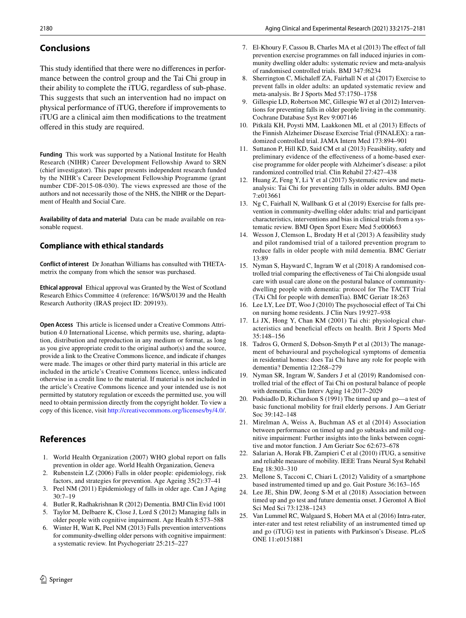# **Conclusions**

This study identifed that there were no diferences in performance between the control group and the Tai Chi group in their ability to complete the iTUG, regardless of sub-phase. This suggests that such an intervention had no impact on physical performance of iTUG, therefore if improvements to iTUG are a clinical aim then modifcations to the treatment ofered in this study are required.

**Funding** This work was supported by a National Institute for Health Research (NIHR) Career Development Fellowship Award to SRN (chief investigator). This paper presents independent research funded by the NIHR's Career Development Fellowship Programme (grant number CDF-2015-08-030). The views expressed are those of the authors and not necessarily those of the NHS, the NIHR or the Department of Health and Social Care.

**Availability of data and material** Data can be made available on reasonable request.

## **Compliance with ethical standards**

**Conflict of interest** Dr Jonathan Williams has consulted with THETAmetrix the company from which the sensor was purchased.

**Ethical approval** Ethical approval was Granted by the West of Scotland Research Ethics Committee 4 (reference: 16/WS/0139 and the Health Research Authority (IRAS project ID: 209193).

**Open Access** This article is licensed under a Creative Commons Attribution 4.0 International License, which permits use, sharing, adaptation, distribution and reproduction in any medium or format, as long as you give appropriate credit to the original author(s) and the source, provide a link to the Creative Commons licence, and indicate if changes were made. The images or other third party material in this article are included in the article's Creative Commons licence, unless indicated otherwise in a credit line to the material. If material is not included in the article's Creative Commons licence and your intended use is not permitted by statutory regulation or exceeds the permitted use, you will need to obtain permission directly from the copyright holder. To view a copy of this licence, visit <http://creativecommons.org/licenses/by/4.0/>.

# **References**

- <span id="page-5-0"></span>1. World Health Organization (2007) WHO global report on falls prevention in older age. World Health Organization, Geneva
- <span id="page-5-1"></span>2. Rubenstein LZ (2006) Falls in older people: epidemiology, risk factors, and strategies for prevention. Age Ageing 35(2):37–41
- <span id="page-5-2"></span>3. Peel NM (2011) Epidemiology of falls in older age. Can J Aging 30:7–19
- <span id="page-5-3"></span>4. Butler R, Radhakrishnan R (2012) Dementia. BMJ Clin Evid 1001
- <span id="page-5-4"></span>5. Taylor M, Delbaere K, Close J, Lord S (2012) Managing falls in older people with cognitive impairment. Age Health 8:573–588
- <span id="page-5-5"></span>6. Winter H, Watt K, Peel NM (2013) Falls prevention interventions for community-dwelling older persons with cognitive impairment: a systematic review. Int Psychogeriatr 25:215–227
- <span id="page-5-6"></span>7. El-Khoury F, Cassou B, Charles MA et al (2013) The efect of fall prevention exercise programmes on fall induced injuries in community dwelling older adults: systematic review and meta-analysis of randomised controlled trials. BMJ 347:f6234
- 8. Sherrington C, Michaleff ZA, Fairhall N et al (2017) Exercise to prevent falls in older adults: an updated systematic review and meta-analysis. Br J Sports Med 57:1750–1758
- <span id="page-5-7"></span>9. Gillespie LD, Robertson MC, Gillespie WJ et al (2012) Interventions for preventing falls in older people living in the community. Cochrane Database Syst Rev 9:007146
- <span id="page-5-10"></span>10. Pitkälä KH, Poysti MM, Laakkonen ML et al (2013) Efects of the Finnish Alzheimer Disease Exercise Trial (FINALEX): a randomized controlled trial. JAMA Intern Med 173:894–901
- <span id="page-5-11"></span>11. Suttanon P, Hill KD, Said CM et al (2013) Feasibility, safety and preliminary evidence of the efectiveness of a home-based exercise programme for older people with Alzheimer's disease: a pilot randomized controlled trial. Clin Rehabil 27:427–438
- <span id="page-5-8"></span>12. Huang Z, Feng Y, Li Y et al (2017) Systematic review and metaanalysis: Tai Chi for preventing falls in older adults. BMJ Open 7:e013661
- <span id="page-5-9"></span>13. Ng C, Fairhall N, Wallbank G et al (2019) Exercise for falls prevention in community-dwelling older adults: trial and participant characteristics, interventions and bias in clinical trials from a systematic review. BMJ Open Sport Exerc Med 5:e000663
- <span id="page-5-12"></span>14. Wesson J, Clemson L, Brodaty H et al (2013) A feasibility study and pilot randomised trial of a tailored prevention program to reduce falls in older people with mild dementia. BMC Geriatr 13:89
- <span id="page-5-13"></span>15. Nyman S, Hayward C, Ingram W et al (2018) A randomised controlled trial comparing the efectiveness of Tai Chi alongside usual care with usual care alone on the postural balance of communitydwelling people with dementia: protocol for The TACIT Trial (TAi ChI for people with demenTia). BMC Geriatr 18:263
- <span id="page-5-14"></span>16. Lee LY, Lee DT, Woo J (2010) The psychosocial efect of Tai Chi on nursing home residents. J Clin Nurs 19:927–938
- <span id="page-5-15"></span>17. Li JX, Hong Y, Chan KM (2001) Tai chi: physiological characteristics and benefcial efects on health. Brit J Sports Med 35:148–156
- <span id="page-5-16"></span>18. Tadros G, Ormerd S, Dobson-Smyth P et al (2013) The management of behavioural and psychological symptoms of dementia in residential homes: does Tai Chi have any role for people with dementia? Dementia 12:268–279
- <span id="page-5-17"></span>19. Nyman SR, Ingram W, Sanders J et al (2019) Randomised controlled trial of the efect of Tai Chi on postural balance of people with dementia. Clin Interv Aging 14:2017–2029
- <span id="page-5-18"></span>20. Podsiadlo D, Richardson S (1991) The timed up and go—a test of basic functional mobility for frail elderly persons. J Am Geriatr Soc 39:142–148
- <span id="page-5-19"></span>21. Mirelman A, Weiss A, Buchman AS et al (2014) Association between performance on timed up and go subtasks and mild cognitive impairment: Further insights into the links between cognitive and motor function. J Am Geriatr Soc 62:673–678
- <span id="page-5-22"></span>22. Salarian A, Horak FB, Zampieri C et al (2010) iTUG, a sensitive and reliable measure of mobility. IEEE Trans Neural Syst Rehabil Eng 18:303–310
- <span id="page-5-20"></span>23. Mellone S, Tacconi C, Chiari L (2012) Validity of a smartphone based instrumented timed up and go. Gait Posture 36:163–165
- <span id="page-5-21"></span>24. Lee JE, Shin DW, Jeong S-M et al (2018) Association between timed up and go test and future dementia onset. J Gerontol A Biol Sci Med Sci 73:1238–1243
- 25. Van Lummel RC, Walgaard S, Hobert MA et al (2016) Intra-rater, inter-rater and test retest reliability of an instrumented timed up and go (iTUG) test in patients with Parkinson's Disease. PLoS ONE 11:e0151881